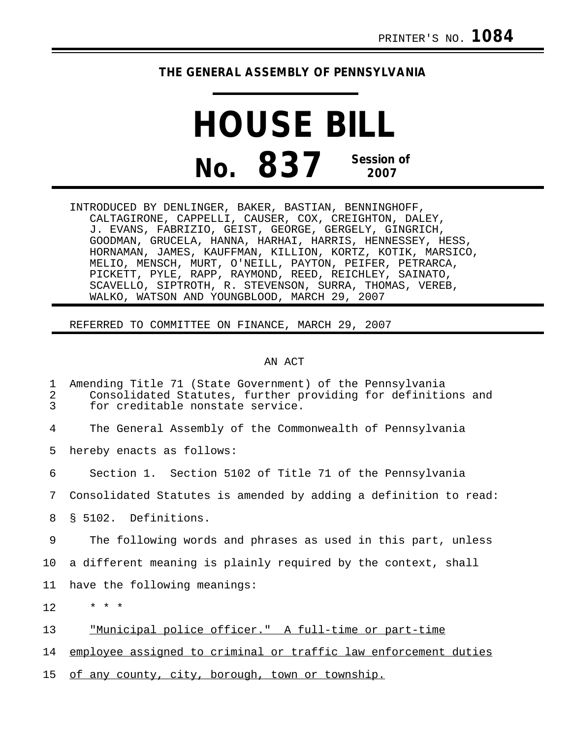## **THE GENERAL ASSEMBLY OF PENNSYLVANIA**

## **HOUSE BILL No. 837 Session of 2007**

INTRODUCED BY DENLINGER, BAKER, BASTIAN, BENNINGHOFF, CALTAGIRONE, CAPPELLI, CAUSER, COX, CREIGHTON, DALEY, J. EVANS, FABRIZIO, GEIST, GEORGE, GERGELY, GINGRICH, GOODMAN, GRUCELA, HANNA, HARHAI, HARRIS, HENNESSEY, HESS, HORNAMAN, JAMES, KAUFFMAN, KILLION, KORTZ, KOTIK, MARSICO, MELIO, MENSCH, MURT, O'NEILL, PAYTON, PEIFER, PETRARCA, PICKETT, PYLE, RAPP, RAYMOND, REED, REICHLEY, SAINATO, SCAVELLO, SIPTROTH, R. STEVENSON, SURRA, THOMAS, VEREB, WALKO, WATSON AND YOUNGBLOOD, MARCH 29, 2007

REFERRED TO COMMITTEE ON FINANCE, MARCH 29, 2007

## AN ACT

| 1<br>2<br>3 | Amending Title 71 (State Government) of the Pennsylvania<br>Consolidated Statutes, further providing for definitions and<br>for creditable nonstate service. |
|-------------|--------------------------------------------------------------------------------------------------------------------------------------------------------------|
| 4           | The General Assembly of the Commonwealth of Pennsylvania                                                                                                     |
| 5           | hereby enacts as follows:                                                                                                                                    |
| 6           | Section 1. Section 5102 of Title 71 of the Pennsylvania                                                                                                      |
| 7           | Consolidated Statutes is amended by adding a definition to read:                                                                                             |
| 8           | \$ 5102. Definitions.                                                                                                                                        |
| 9           | The following words and phrases as used in this part, unless                                                                                                 |
| 10          | a different meaning is plainly required by the context, shall                                                                                                |
| 11          | have the following meanings:                                                                                                                                 |
| 12          | $* * *$                                                                                                                                                      |
| 13          | "Municipal police officer." A full-time or part-time                                                                                                         |
| 14          | employee assigned to criminal or traffic law enforcement duties                                                                                              |
| 15          | of any county, city, borough, town or township.                                                                                                              |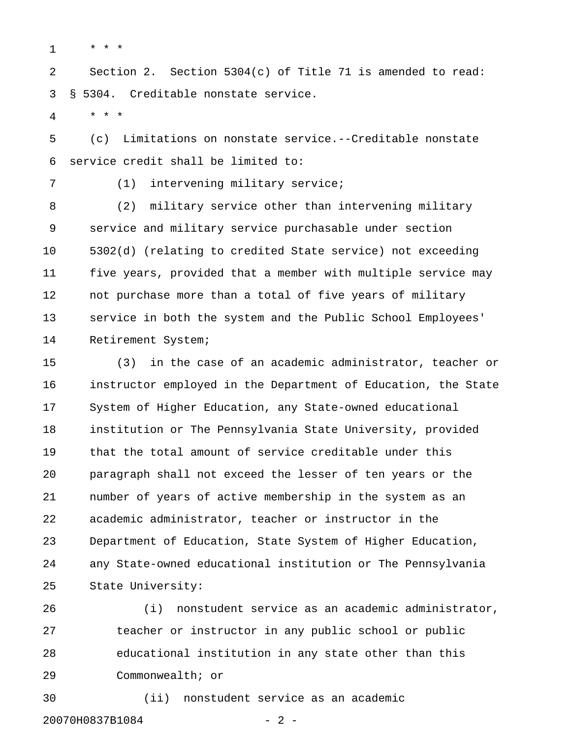$1 \quad * \quad * \quad *$ 

2 Section 2. Section 5304(c) of Title 71 is amended to read: 3 § 5304. Creditable nonstate service.

4 \* \* \*

5 (c) Limitations on nonstate service.--Creditable nonstate 6 service credit shall be limited to:

7 (1) intervening military service;

8 (2) military service other than intervening military 9 service and military service purchasable under section 10 5302(d) (relating to credited State service) not exceeding 11 five years, provided that a member with multiple service may 12 not purchase more than a total of five years of military 13 service in both the system and the Public School Employees' 14 Retirement System;

15 (3) in the case of an academic administrator, teacher or 16 instructor employed in the Department of Education, the State 17 System of Higher Education, any State-owned educational 18 institution or The Pennsylvania State University, provided 19 that the total amount of service creditable under this 20 paragraph shall not exceed the lesser of ten years or the 21 number of years of active membership in the system as an 22 academic administrator, teacher or instructor in the 23 Department of Education, State System of Higher Education, 24 any State-owned educational institution or The Pennsylvania 25 State University:

26 (i) nonstudent service as an academic administrator, 27 teacher or instructor in any public school or public 28 educational institution in any state other than this 29 Commonwealth; or

30 (ii) nonstudent service as an academic

20070H0837B1084 - 2 -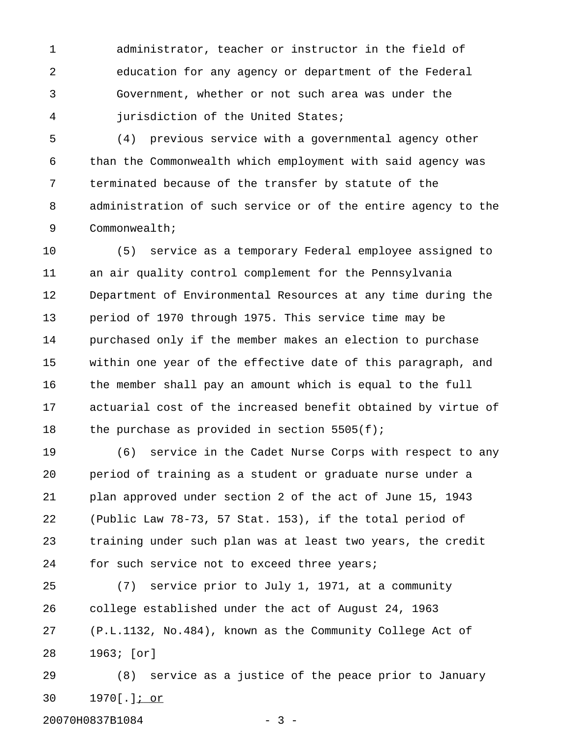1 administrator, teacher or instructor in the field of 2 education for any agency or department of the Federal 3 Government, whether or not such area was under the 4 jurisdiction of the United States;

5 (4) previous service with a governmental agency other 6 than the Commonwealth which employment with said agency was 7 terminated because of the transfer by statute of the 8 administration of such service or of the entire agency to the 9 Commonwealth;

10 (5) service as a temporary Federal employee assigned to 11 an air quality control complement for the Pennsylvania 12 Department of Environmental Resources at any time during the 13 period of 1970 through 1975. This service time may be 14 purchased only if the member makes an election to purchase 15 within one year of the effective date of this paragraph, and 16 the member shall pay an amount which is equal to the full 17 actuarial cost of the increased benefit obtained by virtue of 18 the purchase as provided in section 5505(f);

19 (6) service in the Cadet Nurse Corps with respect to any 20 period of training as a student or graduate nurse under a 21 plan approved under section 2 of the act of June 15, 1943 22 (Public Law 78-73, 57 Stat. 153), if the total period of 23 training under such plan was at least two years, the credit 24 for such service not to exceed three years;

25 (7) service prior to July 1, 1971, at a community 26 college established under the act of August 24, 1963 27 (P.L.1132, No.484), known as the Community College Act of 28 1963; [or]

29 (8) service as a justice of the peace prior to January 30 1970[.]; or \_\_\_\_

20070H0837B1084 - 3 -